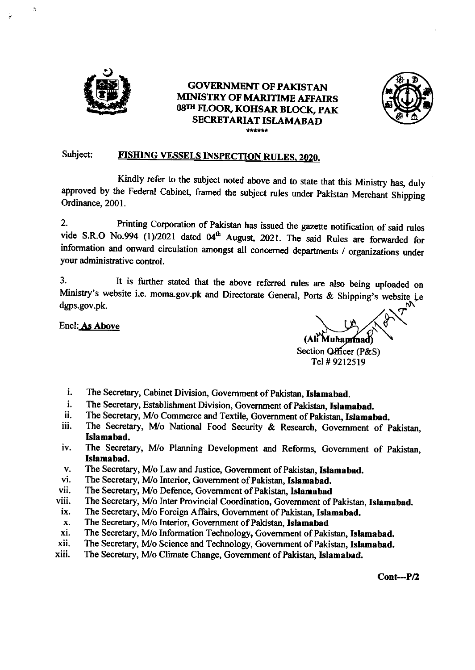

 $\ddot{z}$ 

# GOVERNMENT OF PAKISTAN MIMSTRY OF MARITIME AFFAIRS 08TH FLOOR, KOHSAR BLOCK, PAK SECRETARIAT ISLAMABAD \*ffi



# Subject: FISHING VESSELS INSPECTION RULES, 2020.

Kindly refer to the subject noted above and to state that this Ministry has, duly approved by the Federal cabinet, framed the subject rules under pakistan Merchant Shipping Ordinance, 2001.

2. Printing Corporation of Pakistan has issued the gazette notification of said rules vide S.R.O No.994  $(1)/2021$  dated 04<sup>th</sup> August, 2021. The said Rules are forwarded for information and onward circulation amongst all concemed departrnents / organizations under your administrative control.

3. It is further stated that the above referred rules are also being uploaded on Ministry's website i.e. moma.gov.pk and Directorate General, Ports & Shipping's dgps.gov.pk.

Encl: <u>As Above</u>

(All Muhammad) Section Officer (P&S) Tel# 9212519

- The Secretary, Cabinet Division, Govemment of Pakistan, Istamabad. i.
- l. The Secretary, Establishment Division, Government of Pakistan, Islamabad.
- ll. The Secretary, M/o Commerce and Textile, Government of Pakistan, Islamabad.
- iii. The Secretary, M/o National Food Security & Research, Government of Pakistan, Islamabad,
- The Secretary, M/o Planning Development and Reforms, Government of Pakistan, Islamabad. lv.
- The Secretary, M/o Law and Justice, Government of Pakistan, Islamabad. v.
- The Secretary, M/o Interior, Government of Pakistan, Islamabad. vi.
- The Secretary, M/o Defence, Government of Pakistan, Islamabad vii.
- The Secretary, M/o Inter Provincial Coordination, Government of Pakistan, Islamabad. viii.
- The Secretary, M/o Foreign Affairs, Government of Pakistan, Islamabad. lx.
- The Secretary, M/o Interior, Government of Pakistan, Islamabad x.
- The Secretary, M/o Information Technology, Govemment of Pakistan, Islamabad. xi.
- The Secretary, M/o Science and Technology, Government of Pakistan, Islamabad. xii.
- The Secretary, M/o Climate Change, Govemment of Pakistan, Islamabad. xiii.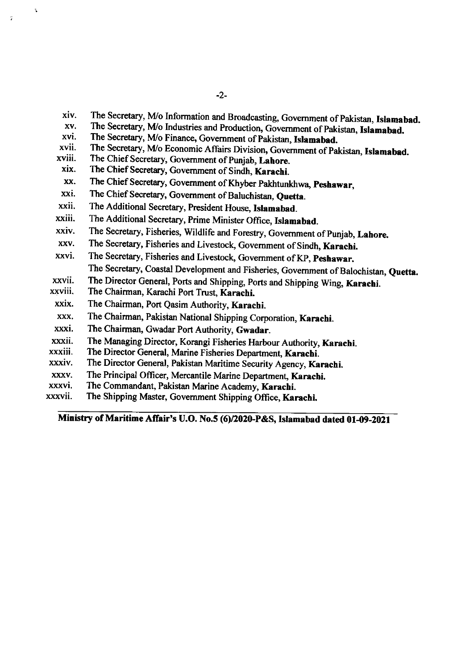- xiv. The Secretary, M/o Information and Broadcasting, Government of Pakistan, Islamabad.
- xv. The Secretary, M/o Industries and Production, Government of Pakistan, Islamabad.
- xvi. The Secretary, M/o Finance, Government of Pakistan, Islamabad.
- xvii. xviii. The Secretary, M/o Economic Affairs Division, Government of Pakistan, Islamabad.
- xix. The Chief Secretary, Government of Punjab, Lahore.

 $\mathbf{r}$ 

- The Chief Secretary, Government of Sindh, Karachi.
- xx. The Chief Secretary, Government of Khyber Pakhtunkhwa, Peshawar,
- xxi. The Chief Secretary, Government of Baluchistan, Quetta.
- xxii. The Additional Secretary, President House, Istamabad.
- xxiii. The Additional Secretary, Prime Minister Office, Islamabad.
- xxiv. The Secretary, Fisheries, Wildlife and Forestry, Govemment of punjab, Lahore.
- xxv. The Secretary, Fisheries and Livestock, Government of Sindh, Karachi.
- xxvi. The Secretary, Fisheries and Livestock, Government of KP, Peshawar. The Secretary, Coastal Development and Fisheries, Government of Balochistan, Quetta.
- The Director General, Ports and Shipping, ports and Shipping Wing, Karachi. xxvii.
- The Chairman, Karachi Port Trust, Karachi. xxviii.
- The Chairman, Port Qasim Authority, Karachi. xxix.
- The Chairman, Pakistan National Shipping Corporation, Karachi. xxx.
- The Chairman, Gwadar Port Authority, Gwadar. xxxi.
- The Managing Director, Korangi Fisheries Harbour Authority, Karachi. xxxii.
- The Director General, Marine Fisheries Department, Karachi. xxxiii.
- The Director General, Pakistan Maritime Security Agency, Karachi. xxxiv.
- The Principal Officer, Mercantile Marine Department, Karachi. xxxv
- The Commandant, Pakistan Marine Academy, Karachi. xxxvi.
- The Shipping Master, Government Shipping Office, Karachi. xxxvii.

Ministry of Maritime Affair's U.O. No.5 (6)/2020-P&S, Islamabad dated 01-09-2021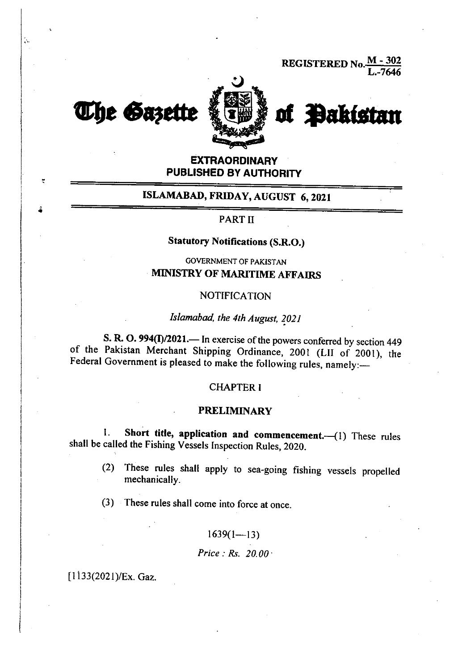



# **EXTRAORDINARY** PUBLISHED BY AUTHORITY

# ISLAMABAD, FRIDAY, AUGUST 6,2021

#### PART II

# Statutory Notifications (S.R.O.)

COVERNMENT OF PAKISTAN **MINISTRY OF MARITIME AFFAIRS** 

#### **NOTIFICATION**

# Islamabad, the 4th August, 2021

S. R. O. 994(I)/2021.— In exercise of the powers conferred by section 449 of the Pakistan Merchant Shipping Ordinance, 2001 (LII of 2001), the Federal Government is pleased to make the following rules, namely:-

#### **CHAPTER I**

#### PRELIMINARY

1. Short title, application and commencement. (1) These rules shall be called the Fishing Vessels lnspection Rules, 2020.

(2) These rules shall apply to sea-going fishing vessels propelled mechanically.

(3) These rules shall come into force at once.

#### $1639(1-\frac{13}{3})$

Price: Rs. 20.00 ·

 $[1133(2021)/Ex.$  Gaz.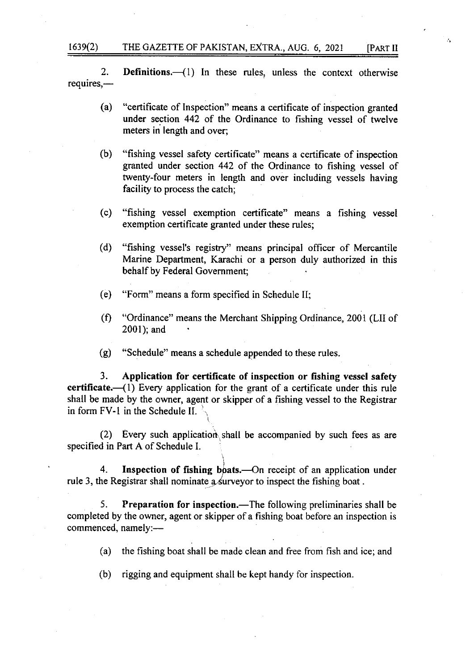#### 1639(2) THE GAZETTE OF PAKISTAN, EXTRA., AUG. 6, 2021 [PART II

2. **Definitions.**  $\left(1\right)$  In these rules, unless the context otherwise requires,-

- (a) "certificate of Inspection" means a certificate of inspection granted under section 442 of the Ordinance to fishing vessel of twelve meters in length and over;
- (b) "fishing vessel safety certificate" means a certificate of inspection granted under section 442 of the Ordinance to fishing vessel of twenty-four meters in length and over including vessels having facility to process the catch;
- (c) "fishing vessel exemption certificate" means a fishing vessel exemption certificate granted under these rules;
- (d) "fishing vessel's registry" means principal officer of Mercantile Marine Department, Karachi or a person duly authorized in this behalf by Federal Government;
- (e) "Form" means a form specified in Schedule II;
- (0 "Ordinance" means the Merchant Shipping Ordinance, 2001 (LII of 2001); and
- (g) "Schedule" means a schedule appended to these rules.

3. Application for certificate of inspection or fishing vessel safety certificate. $({}1)$  Every application for the grant of a certificate under this rule shall be made by the owner, agent or skipper of a fishing vessel to the Registrar in form  $FV-1$  in the Schedule II.

(2) Every such application shall be accompanied by such fees as are specified in Part A of Schedule L

4. Inspection of fishing boats.—On receipt of an application under rule 3, the Registrar shall nominate a surveyor to inspect the fishing boat.

5. Preparation for inspection.—The following preliminaries shall be completed by the owner, agent or skipper of a fishing boat before an inspection is commenced, namely:-

(a) the fishing boat shall be made clean and free from fish and ice; and

(b) rigging and equipment shall be kept handy for inspection.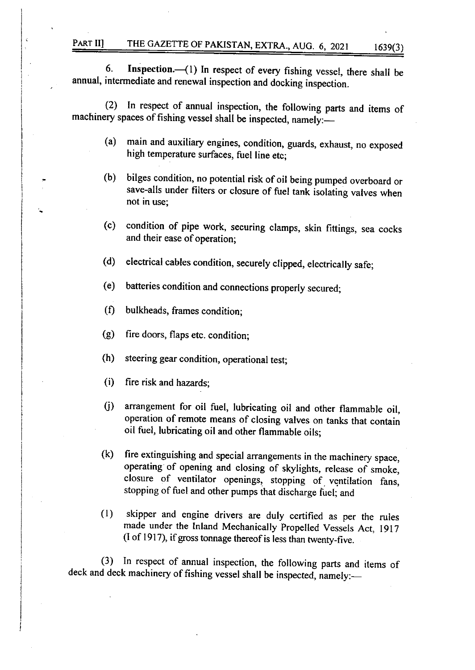6. Inspection. (1) In respect of every fishing vessel, there shall be annual, intermediate and renewal inspection and docking inspection.

(2) In respect of annual inspection, the following parts and items of machinery spaces of fishing vessel shall be inspected, namely:-

- (a) main and auxiliary engines, condition, guards, exhaust, no exposed high temperature surfaces, fuel line etc;
- (b) bilges condition, no potential risk of oil being pumped overboard or save-alls under filters or closure of fuel tank isolating valves when not in use;
- (c) condition of pipe work, securing clamps, skin fittings, sea cocks and their ease of operation;
- (d) electrical cables condition, securely clipped, electrically safe;
- (e) batteries condition and connections properly secured;
- (f) bulkheads, frames condition;
- G) fire doors, flaps etc. condition;
- (h) steering gear condition, operational test;
- (i) fire risk and hazards;

i

I

- 0) arrangement for oil fuel, lubricating oil and other flammable oil, operation of remote means of closing valves on tanks that contain oil fuel, lubricating oil and other flammable oils;
- (k) fire extinguishing and special arrangements in the machinery space, operating of opening and closing of skylights, release of smoke, closure of ventilator openings, stopping of. ventilation fans, stopping of fuel and other pumps that discharge fuel; and
- (l) skipper and engine drivers are duly certified as per the rules made under the Inland Mechanically propelled Vessels Act, l9l7 (I of 1917), if gross tonnage thereof is less than twenty-five.

(3) In respect of annual inspection, the following parts and items of deck and deck machinery of fishing vessel shall be inspected, namely:-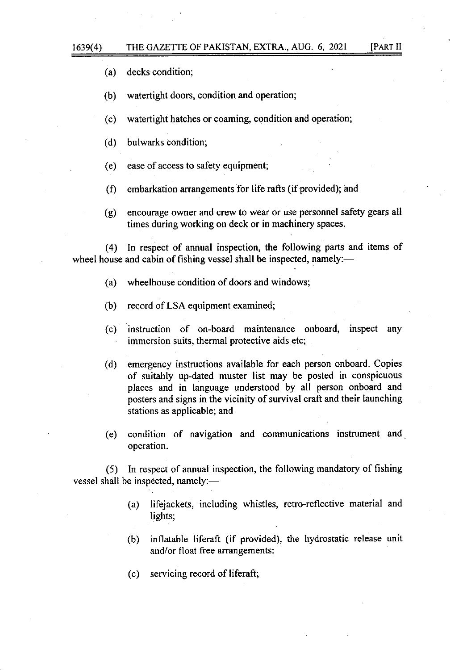(a) decks condition;

(b) watertight doors, condition and operation;

(c) watertight hatches or coaming, condition and operation;

(d) bulwarks condition;

(e) ease of access to safety equipment;

 $(f)$  embarkation arrangements for life rafts (if provided); and

(g) encourage owner and crew to wear or use personnel safety gears all times during working on deck or in machinery spaces.

(4) In respect of annual inspection, the following parts and items of wheel house and cabin of fishing vessel shall be inspected, namely:—

(a) wheelhouse condition of doors and windows;

(b) record of LSA equipment examined;

(c) instruction of on-board maintenance onboard, inspect any immersion suits, thermal protective aids etc;

(d) emergency instructions available for each person onboard. Copies of suitably up-dated muster list may be posted in conspicuous places and in language understood by all person onboard and posters and signs in the vicinity of survival craft and their launching stations as applicable; and

(e) condition of navigation and communications instrument and operation.

(5) In respect of annual inspection, the following mandatory of fishing vessel shall be inspected, namely:-

- (a) lifejackets, including whistles, retro-reflective material and lights;
- (b) inflatable liferaft (if provided), the hydrostatic release unit and/or float free arrangements;
- (c) servicing record of liferaft;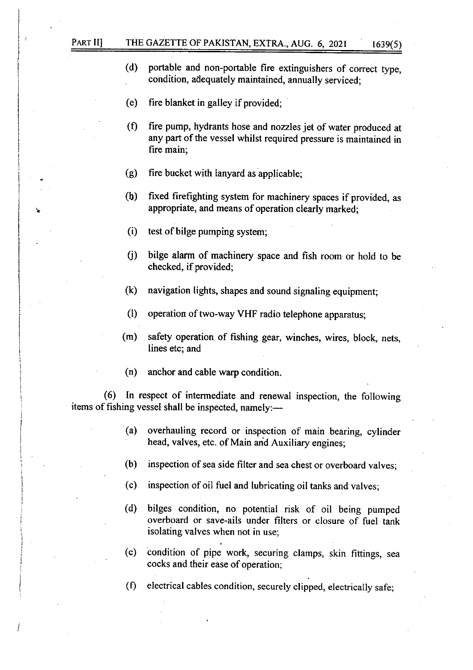# PART II] THE GAZETTE OF PAKISTAN, EXTRA., AUG. 6, 2021 1639(5)

- (d) portable and non-portable fire extinguishers of correct type, condition, adequately maintained, annually serviced;
- (e) fire blanket in galley if provided;
- (f) fire pump, hydrants hose and nozzles jet of water produced at any part of the vessel whilst required pressure is maintained in fire main;
- (g) fire bucket with lanyard as applicable;
- (h) fixed firefighting system for machinery spaces if provided, as appropriate, and means of operation clearly marked;
- $(i)$  test of bilge pumping system;
- 0) bilge alarm of machinery space and fish room or hold to be checked, if provided;
- (k) navigation lights, shapes and sound signaling equipment;
- (l) operation of two-way VHF radio telephone apparatus;
- (m) safety operation of fishing gear, winches, wires, block, nets, lines etc; and
- (n) anchor and cable warp condition.

(6) In respect of intermediate and renewal inspection, the following items of fishing vessel shall be inspected, namely:—

- (a) overhauling record or inspection of main bearing, cylinder head, valves, etc. of Main and Auxiliary engines;
- (b) inspection of sea side filter and sea chest or overboard valves;
- (c) inspection of oil fuel and lubricating oil tanks and valves;
- (d) bilges condition, no potential risk of oil being pumped overboard or save-ails under filters or closure of fuel tank isolating valves when not in use;
- (e) condition of pipe work, securing clamps, skin fittings, sea cocks and their ease of operation;
- $(0)$  electrical cables condition, securely clipped, electrically safe;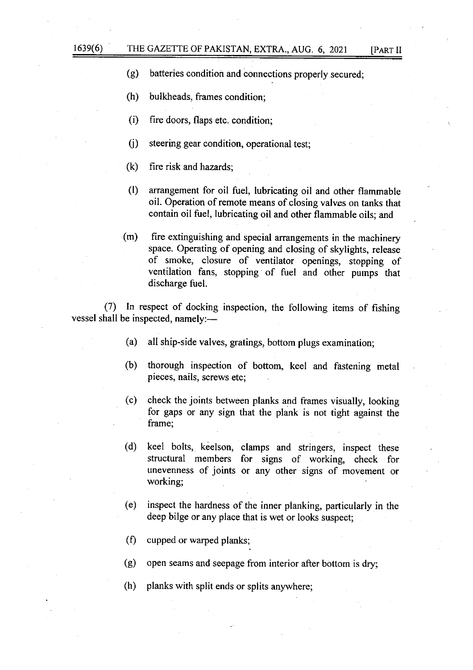- (g) batteries condition and connections properly secured;
- (h) bulkheads, frames condition;
- (i) fire doors, flaps etc. condition;
- (j) steering gear condition, operational test;
- (k) fire risk and hazards;
- (D arrangement for oil fuel, lubricating oil and other flammable oil. Operation of remote means of closing valves on tanks that contain oil fuel, lubricating oil and other flammable oils; and
- (m) fire extinguishing and special arrangements in the machinery space. Operating of opening and closing of skylights, release of smoke, closure of ventilator openings, stopping of ventilation fans, stopping of fuel and other purnps that discharge fuel.

(7) In respect of docking inspection, the following items of fishing vessel shall be inspected, namely:-

- (a) all ship-side valves, gratings, bottom plugs examination;
- (b) thorough inspection of bottom, keel and fastening metal pieces, nails, screws etc;
- (c) check the joints between planks and frames visually, looking for gaps or any sign that the plank is not tight against the frame;
- (d) keel bolts, keelson, clamps and stringers, inspect these structural members for signs of working, check for unevenness of joints or any other signs of movement or working;
- (e) inspect the hardness of the inner planking, particularly in the deep bilge or any place that is wet or looks suspect;
- (f) cupped or warped planks;
- (g) open seams and seepage from interior after bottom is dry;
- (h) planks with split ends or splits anywhere;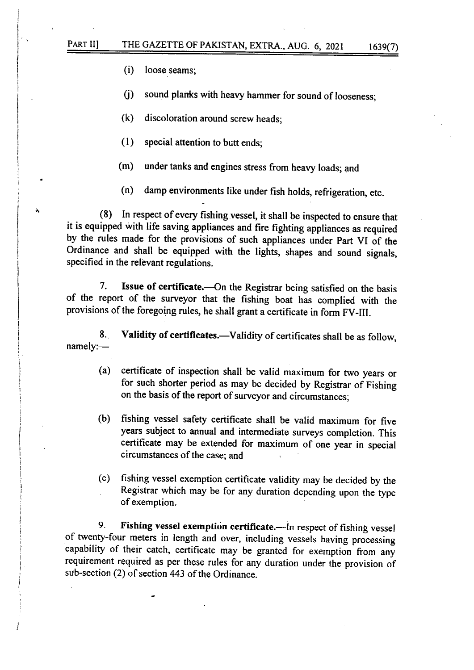(i) loose seams;

 $\mathbf{A}_i$ 

(j) sound planks with heavy hammer for sound of looseness;

- (k) discoloration around screw heads;
- (l) special attention to butt ends;
- (m) under tanks and engines stress from heavy loads; and
- (n) damp environments like under fish holds, refrigeration, etc.

(8) In respect of every fishing vessel, it shall be inspected to ensure that it is equipped with tife saving appliances and fire fighting appliances as required by the rules made for the provisions of such appliances under Part VI of the Ordinance and shall be equipped with the lights, shapes and sound signals, specified in the relevant regulations.

7. Issue of certificate.---On the Registrar being satisfied on the basis of the report of the surveyor that the fishing boat has complied with the provisions of the foregoing rules, he shall grant a certificate in form FV-III.

8. Validity of certificates.—Validity of certificates shall be as follow,  $namely:$ 

- (a) certificate of inspection shall be valid maximum for two years or for such shorter period as may be decided by Registrar of Fishing on the basis of the report of surveyor and circumstances;
- (b) fishing vessel safety certificate shall be valid maximum for five years subject to annual and intermediate surveys completion. This certificate may be extended for maximum of one year in special circumstances of the case; and
- (c) fishing vessel exemprion certificate validity may be decided by the Registrar which may be for any duration depending upon the type of exemption.

9. Fishing vessel exemption certificate.-In respect of fishing vessel of twenty-four meters in length and over, including vessels having processing capability of their catch, certificate may be granted for exemption trom any requirement required as per these rules for any duration under the provision of sub-section (2) of section 443 of the Ordinance.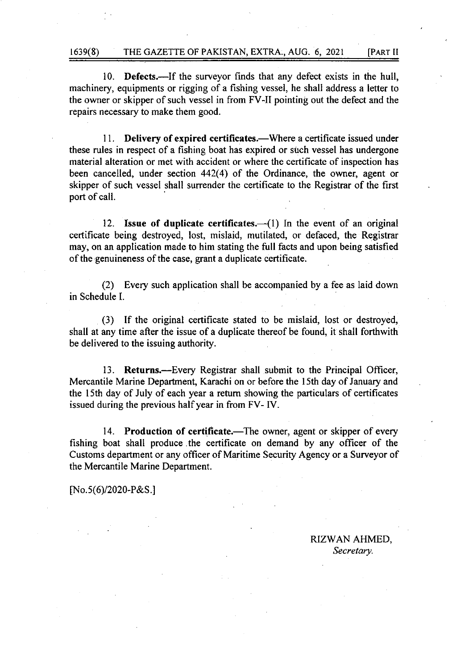10. **Defects.**—If the surveyor finds that any defect exists in the hull, machinery, equipments or rigging of a fishing vessel, he shall address a letter to the owner or skipper of such vessel in from FV-II pointing out the defect and the repairs necessary to make them good.

11. Delivery of expired certificates.—Where a certificate issued under these rules in respect of a fishing boat has expired or such vessel has undergone material alteration or met with accident or where the certificate of inspection has been cancelled, under section 442(4) of the Ordinance, the owner, agent or skipper of such vessel shall surrender the certificate to the Registrar of the first port of call.

12. Issue of duplicate certificates. $\left(-\frac{1}{1}\right)$  In the event of an original certificate being destroyed, lost, mislaid, mutilated, or defaced, the Registrar may, on an application made to him stating the full facts and upon being satisfied of the genuineness of the case, grant a duplicate certificate.

(2) Every such application shall be accompanied by a fee as laid down in Schedule L

(3) If the original certificate stated to be mislaid, lost or destroyed, shall at any time after the issue of a duplicate thereof be found, it shall forthwith be delivered to the issuing authority.

13. Returns.—Every Registrar shall submit to the Principal Officer, Mercantile Marine Department, Karachi on or before the 15th day of January and the l5th day of July of each year a retum showing the particulars of certificates issued during the previous halfyear in from FV- IV.

14. Production of certificate.—The owner, agent or skipper of every fishing boat shall produce.the certificate on demand by any officer of the Customs department or any officer of Maritime Security Agency or a Surveyor of the Mercantile Marine Department.

fNo.s(6)/2020-P&S.l

RIZWAN AHMED, Secretary.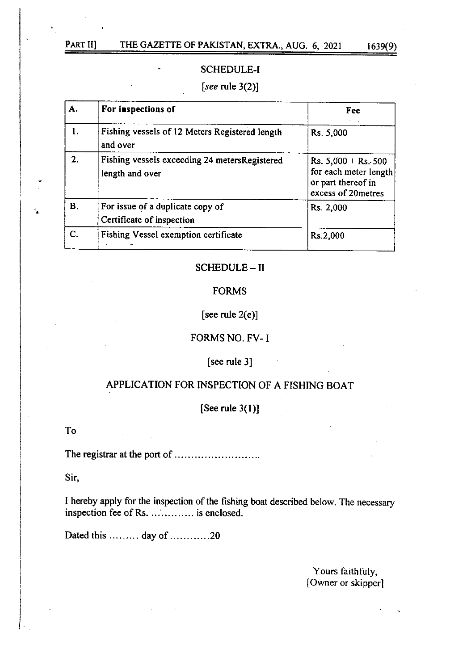٠.

# SCHEDULE-I

# [see rule 3(2)]

| А. | For inspections of                                               | Fee                                                                                              |
|----|------------------------------------------------------------------|--------------------------------------------------------------------------------------------------|
| l. | Fishing vessels of 12 Meters Registered length<br>and over       | Rs. 5,000                                                                                        |
| 2. | Fishing vessels exceeding 24 metersRegistered<br>length and over | Rs. $5,000 + \text{Rs.}500$<br>for each meter length<br>or part thereof in<br>excess of 20metres |
| В. | For issue of a duplicate copy of<br>Certificate of inspection    | Rs. 2,000                                                                                        |
| C. | Fishing Vessel exemption certificate                             | Rs.2,000                                                                                         |

# SCHEDULE- II

# FORMS

# [see rule 2(e)]

# FORMS NO. FV- I

# [see rule 3]

# APPLICATION FOR INSPECTION OF A FISHING BOAT

# [See rule 3(l)]

#### To

The registrar at the port of

Sir,

I hereby apply for the inspection of the fishing boat described below. The uecessary inspection fee of Rs. .............. is enclosed.

Dated this  $\dots \dots \dots$  day of  $\dots \dots \dots \dots 20$ 

Yours faithfuly, [Owner or skipper]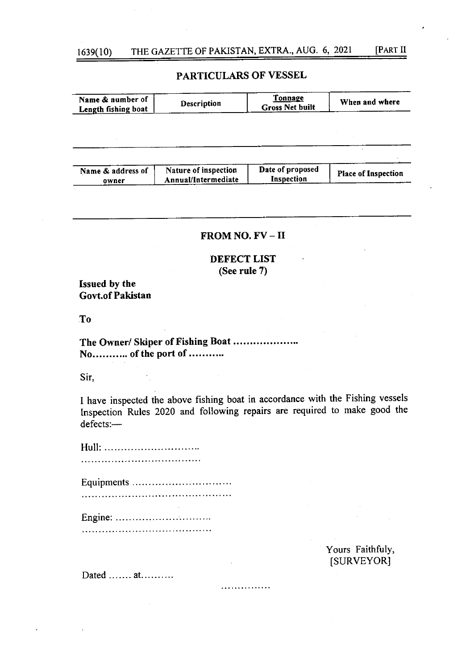# 1639(10) THE GAZETTE OF PAKISTAN, EXTRA., AUG. 6, 2021 [PART II

PARTICULARS OF VESSEL

| Name & number of<br>Length fishing boat         | Description                                                                                                                                                 | Tonnage<br><b>Gross Net built</b> | When and where                 |
|-------------------------------------------------|-------------------------------------------------------------------------------------------------------------------------------------------------------------|-----------------------------------|--------------------------------|
|                                                 |                                                                                                                                                             |                                   |                                |
|                                                 |                                                                                                                                                             |                                   |                                |
|                                                 |                                                                                                                                                             |                                   |                                |
| Name & address of<br>owner                      | Nature of inspection<br>Annual/Intermediate                                                                                                                 | Date of proposed<br>Inspection    | <b>Place of Inspection</b>     |
|                                                 |                                                                                                                                                             |                                   |                                |
|                                                 |                                                                                                                                                             |                                   |                                |
|                                                 | FROM NO. FV – II                                                                                                                                            |                                   |                                |
|                                                 | DEFECT LIST<br>(See rule 7)                                                                                                                                 |                                   |                                |
| <b>Issued by the</b><br><b>Govt.of Pakistan</b> |                                                                                                                                                             |                                   |                                |
| T <sub>o</sub>                                  |                                                                                                                                                             |                                   |                                |
| No of the port of                               | The Owner/ Skiper of Fishing Boat                                                                                                                           |                                   |                                |
| Sir.                                            |                                                                                                                                                             |                                   |                                |
| defects:-                                       | I have inspected the above fishing boat in accordance with the Fishing vessels<br>Inspection Rules 2020 and following repairs are required to make good the |                                   |                                |
| ப…11                                            |                                                                                                                                                             |                                   |                                |
|                                                 |                                                                                                                                                             |                                   |                                |
|                                                 | Equipments                                                                                                                                                  |                                   |                                |
|                                                 |                                                                                                                                                             |                                   |                                |
| Engine:                                         |                                                                                                                                                             |                                   |                                |
|                                                 |                                                                                                                                                             |                                   |                                |
|                                                 |                                                                                                                                                             |                                   | Yours Faithfuly,<br>[SURVEYOR] |
| Dated $at$                                      |                                                                                                                                                             |                                   |                                |
|                                                 |                                                                                                                                                             |                                   |                                |
|                                                 |                                                                                                                                                             |                                   |                                |
|                                                 |                                                                                                                                                             |                                   |                                |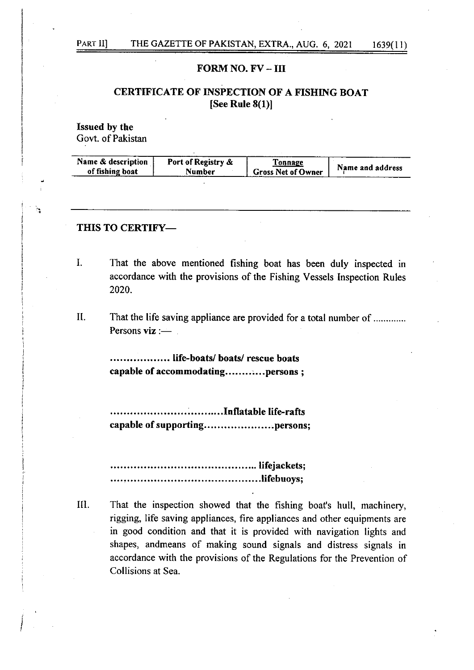$\mathbf{A}$ 

# FORM NO.  $FV - III$

# CERTIFICATE OF INSPECTION OF A FISHING BOAT [See Rule 8(1)]

Issued by the Govt. of Pakistan

| Name & description | Port of Registry & | L'onnage                  | Name and address |
|--------------------|--------------------|---------------------------|------------------|
| of fishing boat    | Number             | <b>Gross Net of Owner</b> |                  |
|                    |                    |                           |                  |

#### THIS TO CERTIFY-

I

- I That the above mentioned fishing boat has been duly inspected in accordance with the provisions of the Fishing Vessels Inspection Rules 2020.
- That the life saving appliance are provided for a total number of ............. Persons  $\mathbf{viz}$  :-II

.................... life-boats/ boats/ rescue boats capable of accommodating............persons ;

...............InflatabIe life-rafts capable of supporting.........................persons;

lifejackets; .......lifebuoys;

That the inspection showed that the fishing boat's hull, machinery, rigging, life saving appliances, fire appliances and other equipments are in good condition and that it is provided with navigation lights and shapes, andmeans of making sound signals and distress signals in accordance with the provisions of the Regulations for the Prevention of Collisions at Sea. <sup>I</sup>II.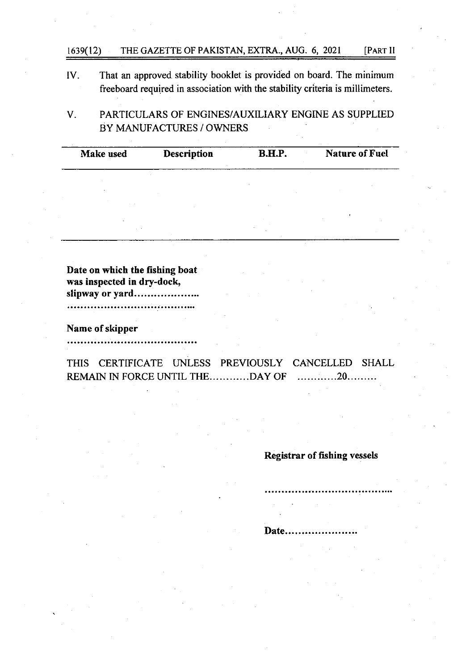# t639(12) THE GAZETTE OF PAKISTAN, EXTRA., AUG. 6, 2021 [PART ll

IV. That an approved stability booklet is provided on board. The minimum freeboard required in association with the stability criteria is millimeters.

PARTICULARS OF ENGINES/AUXILIARY ENGINE AS SUPPLIED  $V_{\cdot}$ BY MANUFACTURES / OWNERS

Make used Description B.H.P. Nature of Fuel

| Date on which the fishing boat |  |
|--------------------------------|--|
| was inspected in dry-dock,     |  |
| slipway or yard                |  |
|                                |  |
|                                |  |
| Name of skipper                |  |
|                                |  |

THIS CERTIFICATE UNLESS PREVIOUSLY CANCELLED SHALL REMAIN IN FORCE UNTIL THE...........DAY OF ............20.........

Registrar of fishing vessels

Date.....